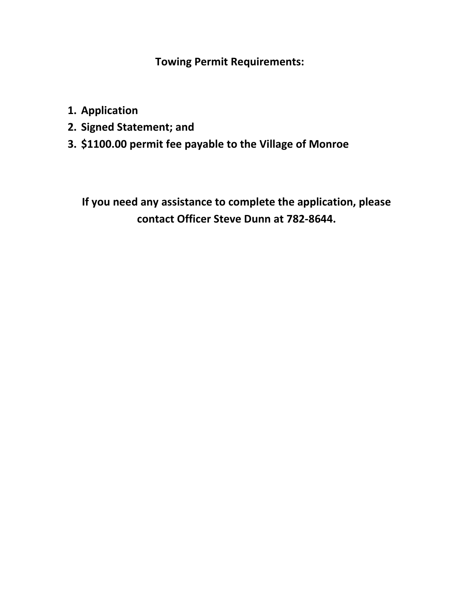**Towing Permit Requirements:**

- **1. Application**
- **2. Signed Statement; and**
- **3. \$1100.00 permit fee payable to the Village of Monroe**

**If you need any assistance to complete the application, please contact Officer Steve Dunn at 782-8644.**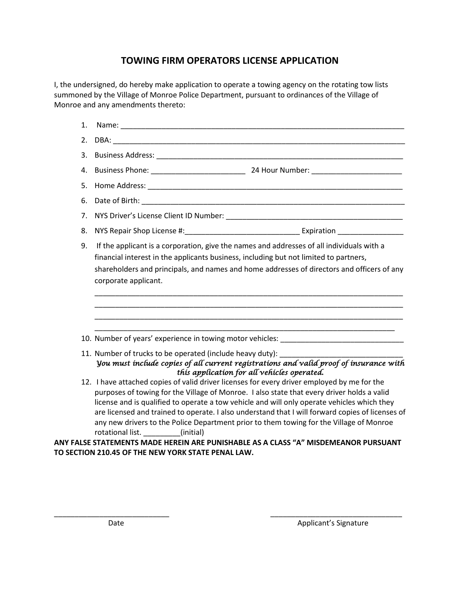## **TOWING FIRM OPERATORS LICENSE APPLICATION**

I, the undersigned, do hereby make application to operate a towing agency on the rotating tow lists summoned by the Village of Monroe Police Department, pursuant to ordinances of the Village of Monroe and any amendments thereto:

| 1. |                                                                                                                                                                                                                                                                                                                                                                                                                                                                                                                                                                                                                                                                    |
|----|--------------------------------------------------------------------------------------------------------------------------------------------------------------------------------------------------------------------------------------------------------------------------------------------------------------------------------------------------------------------------------------------------------------------------------------------------------------------------------------------------------------------------------------------------------------------------------------------------------------------------------------------------------------------|
| 2. |                                                                                                                                                                                                                                                                                                                                                                                                                                                                                                                                                                                                                                                                    |
| 3. |                                                                                                                                                                                                                                                                                                                                                                                                                                                                                                                                                                                                                                                                    |
| 4. |                                                                                                                                                                                                                                                                                                                                                                                                                                                                                                                                                                                                                                                                    |
| 5. |                                                                                                                                                                                                                                                                                                                                                                                                                                                                                                                                                                                                                                                                    |
| 6. |                                                                                                                                                                                                                                                                                                                                                                                                                                                                                                                                                                                                                                                                    |
| 7. |                                                                                                                                                                                                                                                                                                                                                                                                                                                                                                                                                                                                                                                                    |
| 8. |                                                                                                                                                                                                                                                                                                                                                                                                                                                                                                                                                                                                                                                                    |
| 9. | If the applicant is a corporation, give the names and addresses of all individuals with a<br>financial interest in the applicants business, including but not limited to partners,<br>shareholders and principals, and names and home addresses of directors and officers of any<br>corporate applicant.                                                                                                                                                                                                                                                                                                                                                           |
|    | <u> 1989 - Johann Stoff, amerikansk politiker (d. 1989)</u><br>10. Number of years' experience in towing motor vehicles: _______________________                                                                                                                                                                                                                                                                                                                                                                                                                                                                                                                   |
|    | 11. Number of trucks to be operated (include heavy duty):<br>You must include copies of all current registrations and valid proof of insurance with<br>this application for all vehicles operated.                                                                                                                                                                                                                                                                                                                                                                                                                                                                 |
|    | 12. I have attached copies of valid driver licenses for every driver employed by me for the<br>purposes of towing for the Village of Monroe. I also state that every driver holds a valid<br>license and is qualified to operate a tow vehicle and will only operate vehicles which they<br>are licensed and trained to operate. I also understand that I will forward copies of licenses of<br>any new drivers to the Police Department prior to them towing for the Village of Monroe<br>rotational list. (initial)<br>ANY FALSE STATEMENTS MADE HEREIN ARE PUNISHABLE AS A CLASS "A" MISDEMEANOR PURSUANT<br>TO SECTION 210.45 OF THE NEW YORK STATE PENAL LAW. |

\_\_\_\_\_\_\_\_\_\_\_\_\_\_\_\_\_\_\_\_\_\_\_\_\_\_\_\_ \_\_\_\_\_\_\_\_\_\_\_\_\_\_\_\_\_\_\_\_\_\_\_\_\_\_\_\_\_\_\_\_